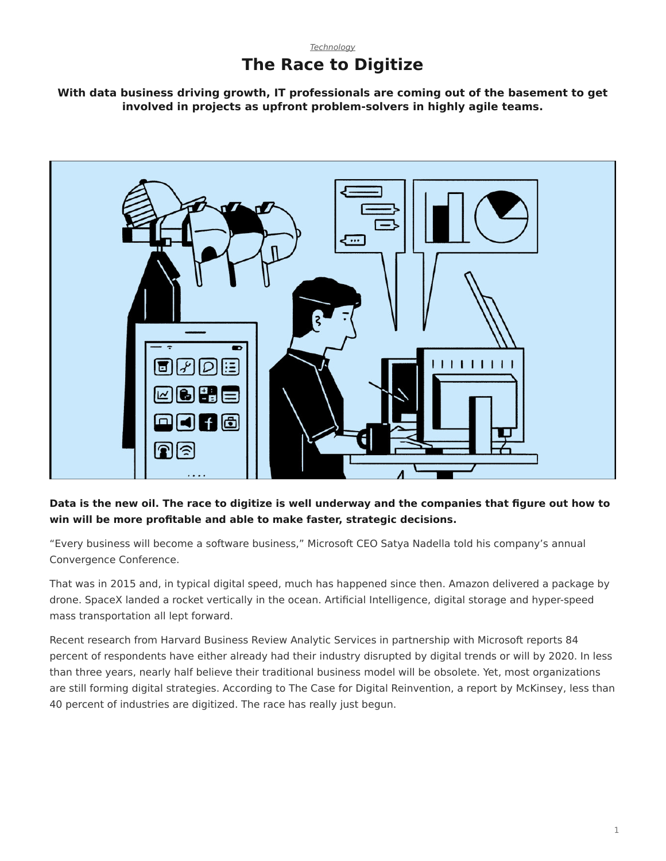## *[Technology](https://www.steelcase.com/asia-en/research/topics/technology/)* **The Race to Digitize**

**With data business driving growth, IT professionals are coming out of the basement to get involved in projects as upfront problem-solvers in highly agile teams.**



## **Data is the new oil. The race to digitize is well underway and the companies that figure out how to win will be more profitable and able to make faster, strategic decisions.**

"Every business will become a software business," Microsoft CEO Satya Nadella told his company's annual Convergence Conference.

That was in 2015 and, in typical digital speed, much has happened since then. Amazon delivered a package by drone. SpaceX landed a rocket vertically in the ocean. Artificial Intelligence, digital storage and hyper-speed mass transportation all lept forward.

Recent research from Harvard Business Review Analytic Services in partnership with Microsoft reports 84 percent of respondents have either already had their industry disrupted by digital trends or will by 2020. In less than three years, nearly half believe their traditional business model will be obsolete. Yet, most organizations are still forming digital strategies. According to The Case for Digital Reinvention, a report by McKinsey, less than 40 percent of industries are digitized. The race has really just begun.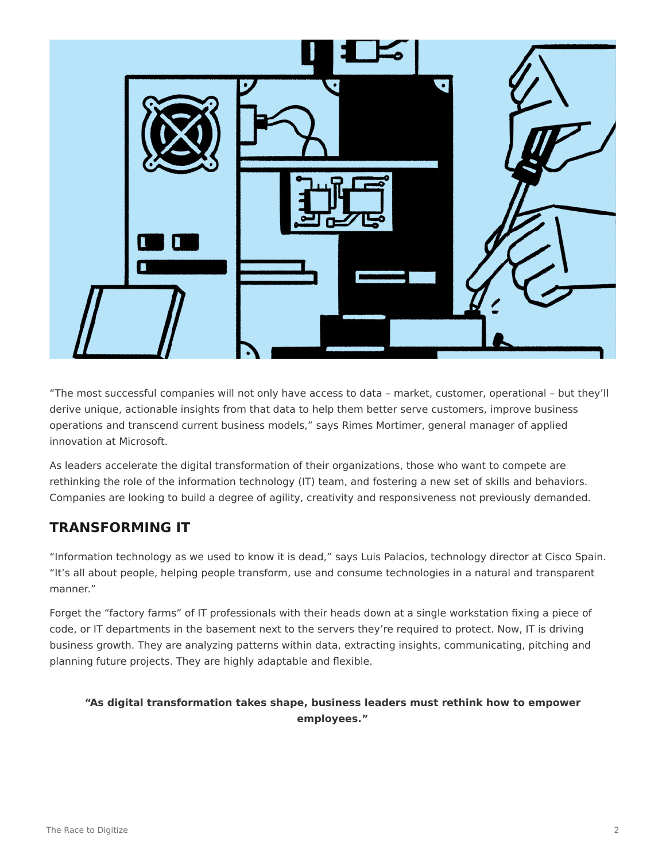

"The most successful companies will not only have access to data – market, customer, operational – but they'll derive unique, actionable insights from that data to help them better serve customers, improve business operations and transcend current business models," says Rimes Mortimer, general manager of applied innovation at Microsoft.

As leaders accelerate the digital transformation of their organizations, those who want to compete are rethinking the role of the information technology (IT) team, and fostering a new set of skills and behaviors. Companies are looking to build a degree of agility, creativity and responsiveness not previously demanded.

# **TRANSFORMING IT**

"Information technology as we used to know it is dead," says Luis Palacios, technology director at Cisco Spain. "It's all about people, helping people transform, use and consume technologies in a natural and transparent manner."

Forget the "factory farms" of IT professionals with their heads down at a single workstation fixing a piece of code, or IT departments in the basement next to the servers they're required to protect. Now, IT is driving business growth. They are analyzing patterns within data, extracting insights, communicating, pitching and planning future projects. They are highly adaptable and flexible.

## **"As digital transformation takes shape, business leaders must rethink how to empower employees."**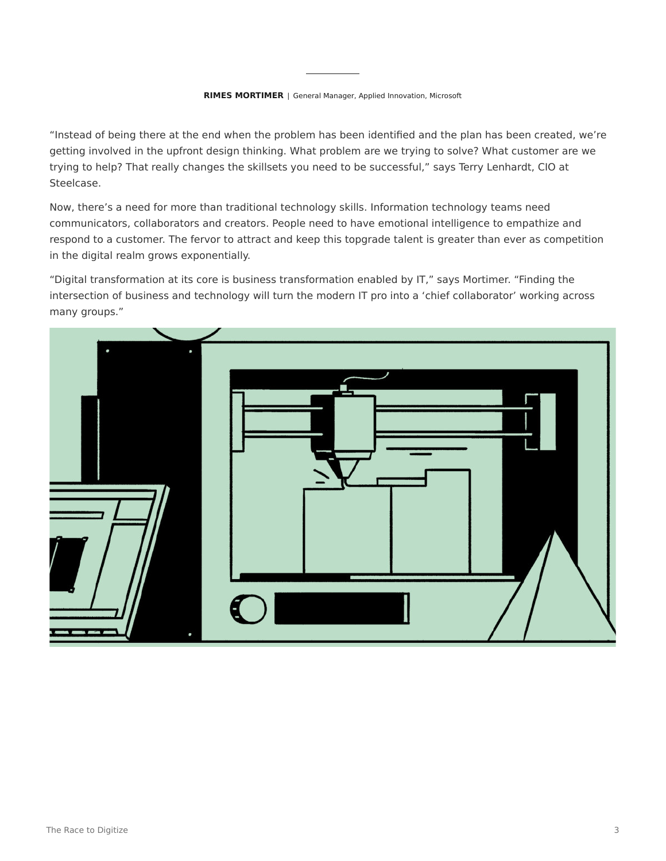#### **RIMES MORTIMER** | General Manager, Applied Innovation, Microsoft

"Instead of being there at the end when the problem has been identified and the plan has been created, we're getting involved in the upfront design thinking. What problem are we trying to solve? What customer are we trying to help? That really changes the skillsets you need to be successful," says Terry Lenhardt, CIO at Steelcase.

Now, there's a need for more than traditional technology skills. Information technology teams need communicators, collaborators and creators. People need to have emotional intelligence to empathize and respond to a customer. The fervor to attract and keep this topgrade talent is greater than ever as competition in the digital realm grows exponentially.

"Digital transformation at its core is business transformation enabled by IT," says Mortimer. "Finding the intersection of business and technology will turn the modern IT pro into a 'chief collaborator' working across many groups."

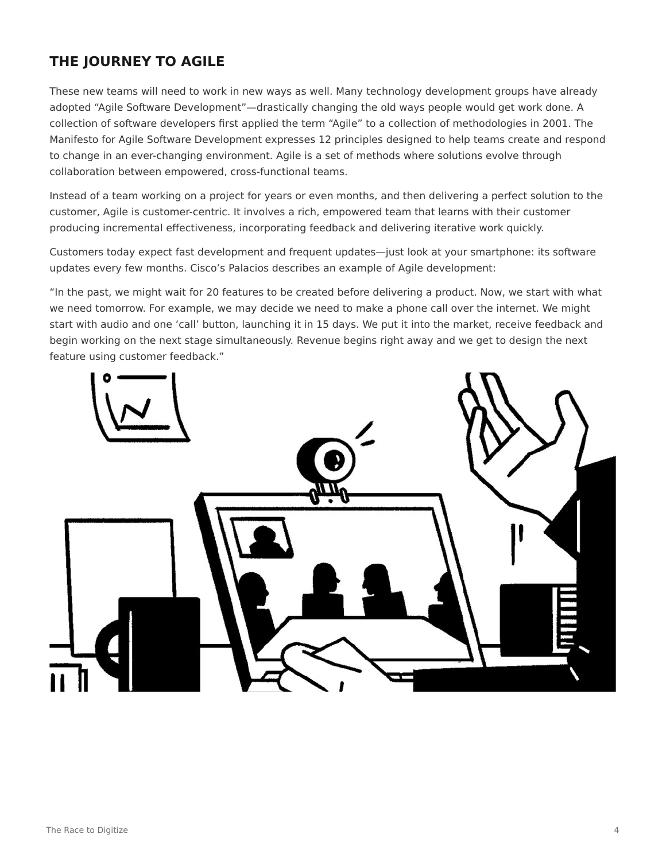# **THE JOURNEY TO AGILE**

These new teams will need to work in new ways as well. Many technology development groups have already adopted "Agile Software Development"—drastically changing the old ways people would get work done. A collection of software developers first applied the term "Agile" to a collection of methodologies in 2001. The Manifesto for Agile Software Development expresses 12 principles designed to help teams create and respond to change in an ever-changing environment. Agile is a set of methods where solutions evolve through collaboration between empowered, cross-functional teams.

Instead of a team working on a project for years or even months, and then delivering a perfect solution to the customer, Agile is customer-centric. It involves a rich, empowered team that learns with their customer producing incremental effectiveness, incorporating feedback and delivering iterative work quickly.

Customers today expect fast development and frequent updates—just look at your smartphone: its software updates every few months. Cisco's Palacios describes an example of Agile development:

"In the past, we might wait for 20 features to be created before delivering a product. Now, we start with what we need tomorrow. For example, we may decide we need to make a phone call over the internet. We might start with audio and one 'call' button, launching it in 15 days. We put it into the market, receive feedback and begin working on the next stage simultaneously. Revenue begins right away and we get to design the next feature using customer feedback."

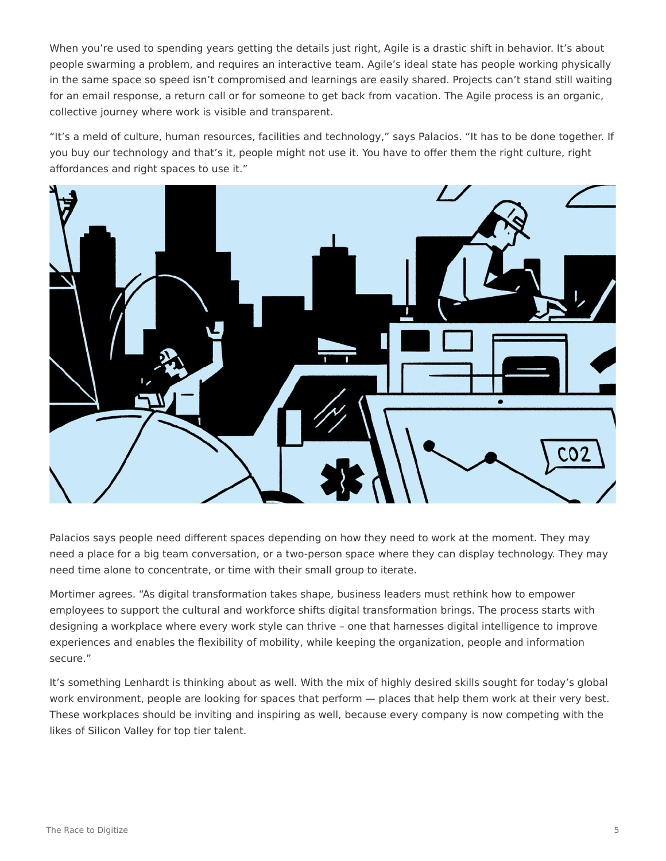When you're used to spending years getting the details just right, Agile is a drastic shift in behavior. It's about people swarming a problem, and requires an interactive team. Agile's ideal state has people working physically in the same space so speed isn't compromised and learnings are easily shared. Projects can't stand still waiting for an email response, a return call or for someone to get back from vacation. The Agile process is an organic, collective journey where work is visible and transparent.

"It's a meld of culture, human resources, facilities and technology," says Palacios. "It has to be done together. If you buy our technology and that's it, people might not use it. You have to offer them the right culture, right affordances and right spaces to use it."



Palacios says people need different spaces depending on how they need to work at the moment. They may need a place for a big team conversation, or a two-person space where they can display technology. They may need time alone to concentrate, or time with their small group to iterate.

Mortimer agrees. "As digital transformation takes shape, business leaders must rethink how to empower employees to support the cultural and workforce shifts digital transformation brings. The process starts with designing a workplace where every work style can thrive – one that harnesses digital intelligence to improve experiences and enables the flexibility of mobility, while keeping the organization, people and information secure."

It's something Lenhardt is thinking about as well. With the mix of highly desired skills sought for today's global work environment, people are looking for spaces that perform — places that help them work at their very best. These workplaces should be inviting and inspiring as well, because every company is now competing with the likes of Silicon Valley for top tier talent.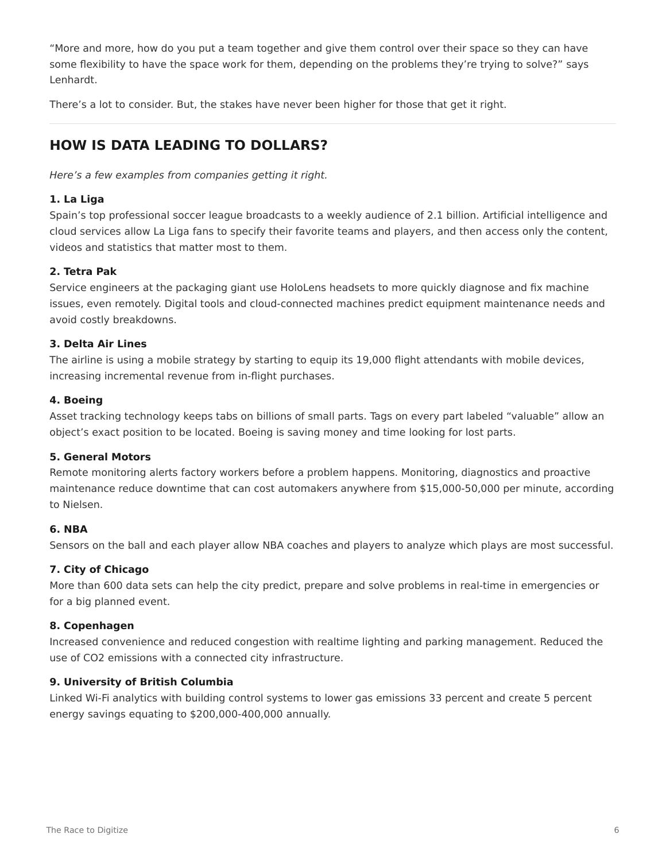"More and more, how do you put a team together and give them control over their space so they can have some flexibility to have the space work for them, depending on the problems they're trying to solve?" says Lenhardt.

There's a lot to consider. But, the stakes have never been higher for those that get it right.

## **HOW IS DATA LEADING TO DOLLARS?**

*Here's a few examples from companies getting it right.*

### **1. La Liga**

Spain's top professional soccer league broadcasts to a weekly audience of 2.1 billion. Artificial intelligence and cloud services allow La Liga fans to specify their favorite teams and players, and then access only the content, videos and statistics that matter most to them.

### **2. Tetra Pak**

Service engineers at the packaging giant use HoloLens headsets to more quickly diagnose and fix machine issues, even remotely. Digital tools and cloud-connected machines predict equipment maintenance needs and avoid costly breakdowns.

#### **3. Delta Air Lines**

The airline is using a mobile strategy by starting to equip its 19,000 flight attendants with mobile devices, increasing incremental revenue from in-flight purchases.

#### **4. Boeing**

Asset tracking technology keeps tabs on billions of small parts. Tags on every part labeled "valuable" allow an object's exact position to be located. Boeing is saving money and time looking for lost parts.

#### **5. General Motors**

Remote monitoring alerts factory workers before a problem happens. Monitoring, diagnostics and proactive maintenance reduce downtime that can cost automakers anywhere from \$15,000-50,000 per minute, according to Nielsen.

#### **6. NBA**

Sensors on the ball and each player allow NBA coaches and players to analyze which plays are most successful.

### **7. City of Chicago**

More than 600 data sets can help the city predict, prepare and solve problems in real-time in emergencies or for a big planned event.

#### **8. Copenhagen**

Increased convenience and reduced congestion with realtime lighting and parking management. Reduced the use of CO2 emissions with a connected city infrastructure.

#### **9. University of British Columbia**

Linked Wi-Fi analytics with building control systems to lower gas emissions 33 percent and create 5 percent energy savings equating to \$200,000-400,000 annually.